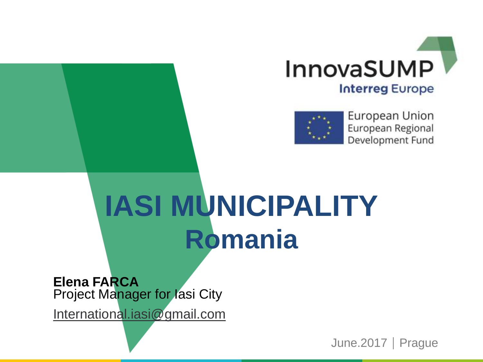



European Union European Regional Development Fund

## **IASI MUNICIPALITY Romania**

**Elena FARCA Project Manager for lasi City** 

[International.iasi@gmail.com](mailto:International.iasi@gmail.com)

June.2017 | Prague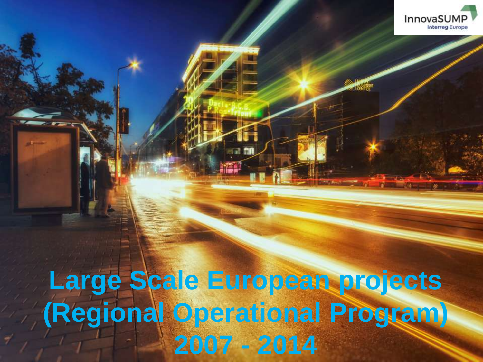

 $-14 - 14$ 

### **Large Scale European projects (Regional Operational Program) 2007 - 2014**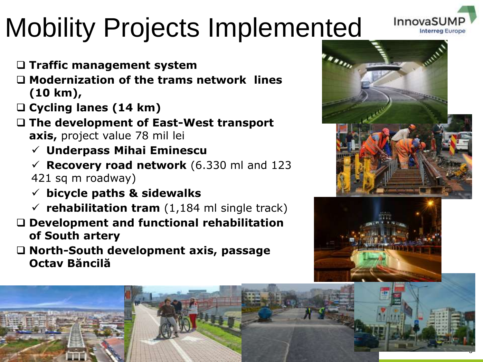### Mobility Projects Implemented

- **Traffic management system**
- **Modernization of the trams network lines (10 km),**
- **Cycling lanes (14 km)**
- **The development of East-West transport axis,** project value 78 mil lei
	- **Underpass Mihai Eminescu**
	- **Recovery road network** (6.330 ml and 123 421 sq m roadway)
	- **bicycle paths & sidewalks**
	- $\checkmark$  rehabilitation tram (1,184 ml single track)
- **Development and functional rehabilitation of South artery**
- **North-South development axis, passage Octav Băncilă**



InnovaS

**Interreg** E



3

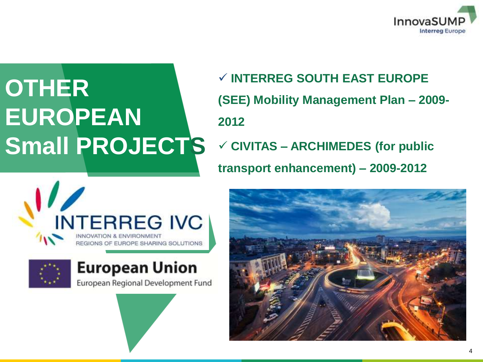

### **OTHER EUROPEAN Small PROJECTS**

 **INTERREG SOUTH EAST EUROPE (SEE) Mobility Management Plan – 2009- 2012 CIVITAS – ARCHIMEDES (for public transport enhancement) – 2009-2012**





### **European Union**

European Regional Development Fund

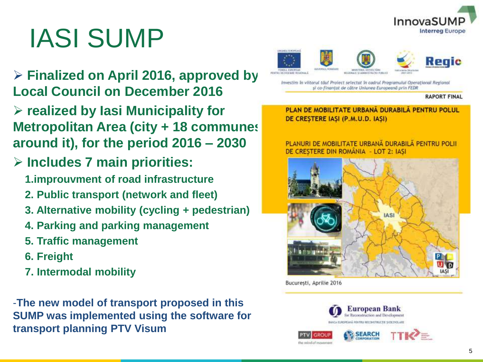

### IASI SUMP

- **Finalized on April 2016, approved by Local Council on December 2016**
- **realized by Iasi Municipality for Metropolitan Area (city + 18 communes around it), for the period 2016 – 2030**
- **Includes 7 main priorities:**
	- **1.improuvment of road infrastructure**
	- **2. Public transport (network and fleet)**
	- **3. Alternative mobility (cycling + pedestrian)**
	- **4. Parking and parking management**
	- **5. Traffic management**
	- **6. Freight**
	- **7. Intermodal mobility**

-**The new model of transport proposed in this SUMP was implemented using the software for transport planning PTV Visum**



Investim în viitorul tâul Proiect selectat în cadrul Programului Operational Regional si co-finantat de către Uniunea Europeană prin FEDR

#### **RAPORT FINAL**

PLAN DE MOBILITATE URBANĂ DURABILĂ PENTRU POLUL DE CRESTERE IASI (P.M.U.D. IASI)

PLANURI DE MOBILITATE URBANĂ DURABILĂ PENTRU POLII DE CRESTERE DIN ROMÂNIA - LOT 2: IASI



Bucuresti, Aprilie 2016

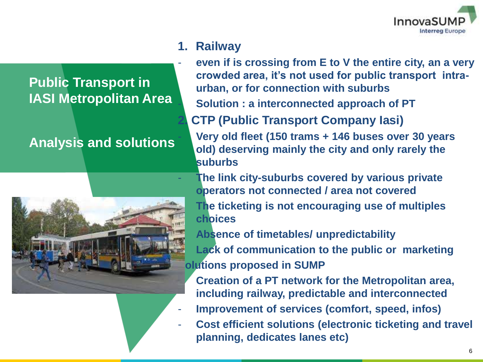

#### **1. Railway**

**Public Transport in IASI Metropolitan Area**

#### **Analysis and solutions**



- **even if is crossing from E to V the entire city, an a very crowded area, it's not used for public transport intraurban, or for connection with suburbs**

- **Solution : a interconnected approach of PT** 

**2. CTP (Public Transport Company Iasi)**

- **Very old fleet (150 trams + 146 buses over 30 years old) deserving mainly the city and only rarely the suburbs**

- **The link city-suburbs covered by various private operators not connected / area not covered**
- **The ticketing is not encouraging use of multiples choices**
- **Absence of timetables/ unpredictability**

**Lack of communication to the public or marketing Olutions proposed in SUMP** 

- **Creation of a PT network for the Metropolitan area, including railway, predictable and interconnected**
- **Improvement of services (comfort, speed, infos)**
- **Cost efficient solutions (electronic ticketing and travel) planning, dedicates lanes etc)**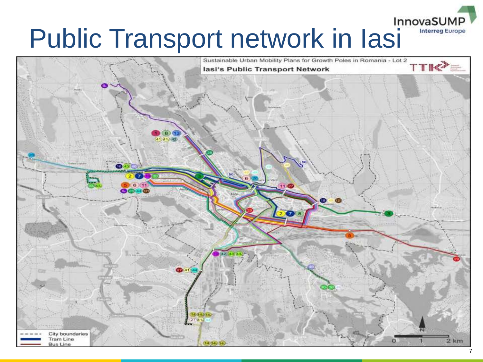# **Public Transport network in Iasi** Innovasump



**Interreg Europe**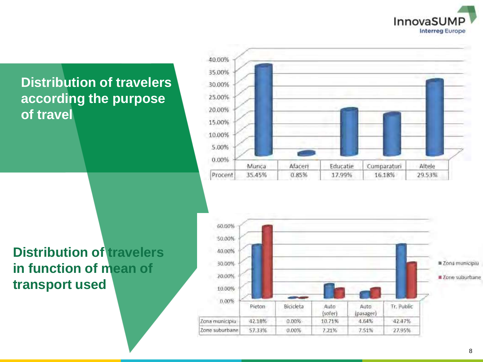

#### **Distribution of travelers according the purpose of travel**





#### **Distribution of travelers in function of mean of transport used**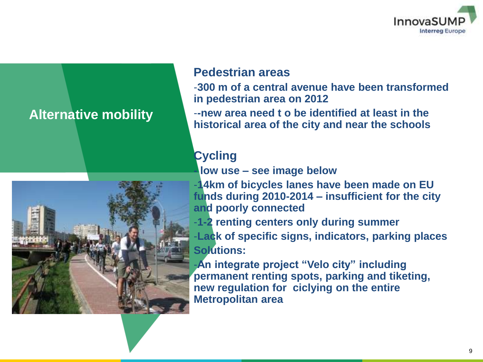

#### **Alternative mobility**



#### **Pedestrian areas**

-**300 m of a central avenue have been transformed in pedestrian area on 2012**

-**-new area need t o be identified at least in the historical area of the city and near the schools**

#### **Cycling**

**- low use – see image below**

-**14km of bicycles lanes have been made on EU funds during 2010-2014 – insufficient for the city and poorly connected**

-**1-2 renting centers only during summer**

-**Lack of specific signs, indicators, parking places Solutions:**

-**An integrate project "Velo city" including permanent renting spots, parking and tiketing, new regulation for ciclying on the entire Metropolitan area**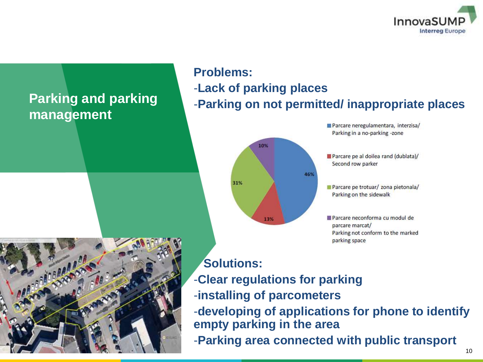

### **Parking and parking management**

### **Problems:** -**Lack of parking places** -**Parking on not permitted/ inappropriate places**



Parcare neregulamentara, interzisa/ Parking in a no-parking -zone

Parcare pe al doilea rand (dublata)/ Second row parker

Parcare pe trotuar/ zona pietonala/ Parking on the sidewalk

Parcare neconforma cu modul de parcare marcat/ Parking not conform to the marked parking space



#### **Solutions:**

- -**Clear regulations for parking**
- -**installing of parcometers**

-**developing of applications for phone to identify empty parking in the area**

-**Parking area connected with public transport**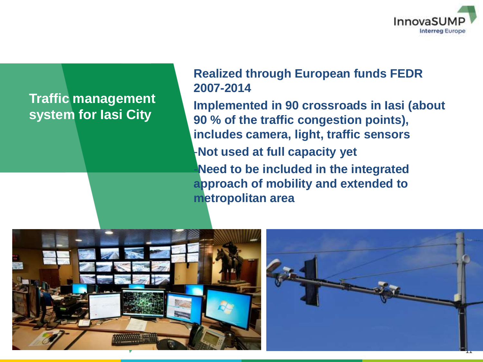

#### **Traffic management system for Iasi City**

#### **Realized through European funds FEDR 2007-2014**

**Implemented in 90 crossroads in Iasi (about 90 % of the traffic congestion points), includes camera, light, traffic sensors**  -**Not used at full capacity yet** -**Need to be included in the integrated approach of mobility and extended to metropolitan area**



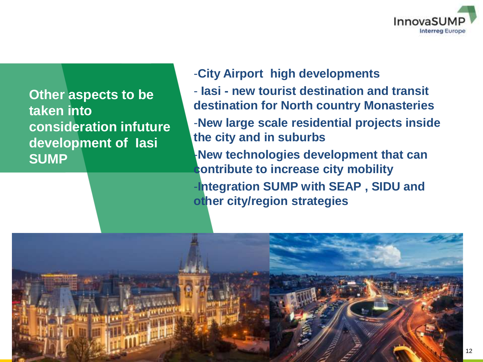

**Other aspects to be taken into consideration infuture development of Iasi SUMP**

#### -**City Airport high developments**

- **Iasi - new tourist destination and transit destination for North country Monasteries**
- -**New large scale residential projects inside the city and in suburbs**
- -**New technologies development that can contribute to increase city mobility**
- -**Integration SUMP with SEAP , SIDU and other city/region strategies**